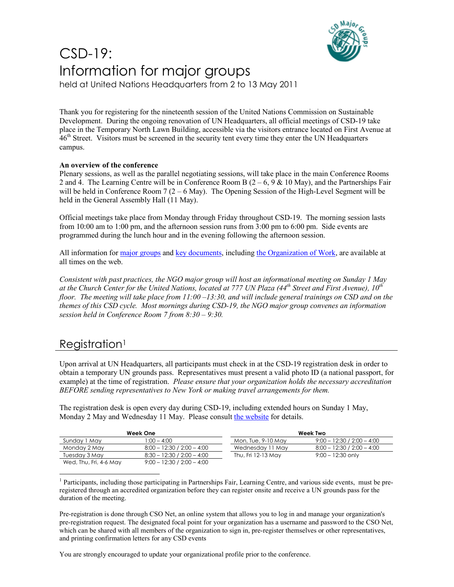

# CSD-19: Information for major groups

held at United Nations Headquarters from 2 to 13 May 2011

Thank you for registering for the nineteenth session of the United Nations Commission on Sustainable Development. During the ongoing renovation of UN Headquarters, all official meetings of CSD-19 take place in the Temporary North Lawn Building, accessible via the visitors entrance located on First Avenue at 46<sup>th</sup> Street. Visitors must be screened in the security tent every time they enter the UN Headquarters campus.

#### **An overview of the conference**

Plenary sessions, as well as the parallel negotiating sessions, will take place in the main Conference Rooms 2 and 4. The Learning Centre will be in Conference Room B  $(2 - 6, 9 \& 10 \text{ May})$ , and the Partnerships Fair will be held in Conference Room  $7(2 - 6$  May). The Opening Session of the High-Level Segment will be held in the General Assembly Hall (11 May).

Official meetings take place from Monday through Friday throughout CSD-19. The morning session lasts from 10:00 am to 1:00 pm, and the afternoon session runs from 3:00 pm to 6:00 pm. Side events are programmed during the lunch hour and in the evening following the afternoon session.

All information for major groups and key documents, including the Organization of Work, are available at all times on the web.

*Consistent with past practices, the NGO major group will host an informational meeting on Sunday 1 May at the Church Center for the United Nations, located at 777 UN Plaza (44th Street and First Avenue), 10th floor. The meeting will take place from 11:00 –13:30, and will include general trainings on CSD and on the themes of this CSD cycle. Most mornings during CSD-19, the NGO major group convenes an information session held in Conference Room 7 from 8:30 – 9:30.*

### Registration<sup>1</sup>

Upon arrival at UN Headquarters, all participants must check in at the CSD-19 registration desk in order to obtain a temporary UN grounds pass. Representatives must present a valid photo ID (a national passport, for example) at the time of registration. *Please ensure that your organization holds the necessary accreditation BEFORE sending representatives to New York or making travel arrangements for them.*

The registration desk is open every day during CSD-19, including extended hours on Sunday 1 May, Monday 2 May and Wednesday 11 May. Please consult the website for details.

| Week One               |                              | Week Two           |                              |
|------------------------|------------------------------|--------------------|------------------------------|
| Sunday 1 May           | $1:00 - 4:00$                | Mon, Tue, 9-10 May | $9:00 - 12:30 / 2:00 - 4:00$ |
| Monday 2 May           | $8:00 - 12:30 / 2:00 - 4:00$ | Wednesday 11 May   | $8:00 - 12:30 / 2:00 - 4:00$ |
| Tuesday 3 May          | $8:30 - 12:30 / 2:00 - 4:00$ | Thu, Fri 12-13 May | $9:00 - 12:30$ only          |
| Wed, Thu, Fri, 4-6 May | $9:00 - 12:30 / 2:00 - 4:00$ |                    |                              |

-<sup>1</sup> Participants, including those participating in Partnerships Fair, Learning Centre, and various side events, must be preregistered through an accredited organization before they can register onsite and receive a UN grounds pass for the duration of the meeting.

Pre-registration is done through CSO Net, an online system that allows you to log in and manage your organization's pre-registration request. The designated focal point for your organization has a username and password to the CSO Net, which can be shared with all members of the organization to sign in, pre-register themselves or other representatives, and printing confirmation letters for any CSD events

You are strongly encouraged to update your organizational profile prior to the conference.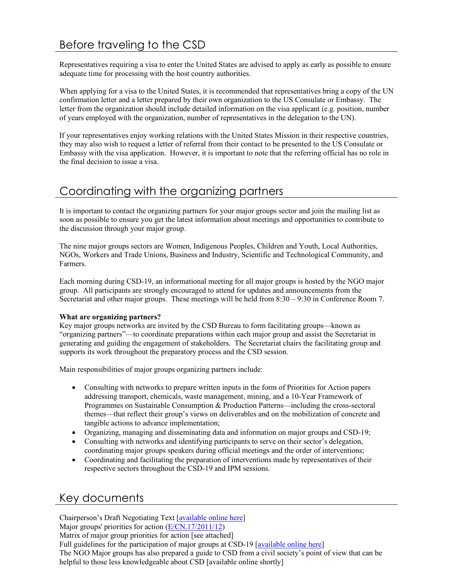Representatives requiring a visa to enter the United States are advised to apply as early as possible to ensure adequate time for processing with the host country authorities.

When applying for a visa to the United States, it is recommended that representatives bring a copy of the UN confirmation letter and a letter prepared by their own organization to the US Consulate or Embassy. The letter from the organization should include detailed information on the visa applicant (e.g. position, number of years employed with the organization, number of representatives in the delegation to the UN).

If your representatives enjoy working relations with the United States Mission in their respective countries, they may also wish to request a letter of referral from their contact to be presented to the US Consulate or Embassy with the visa application. However, it is important to note that the referring official has no role in the final decision to issue a visa.

### Coordinating with the organizing partners

It is important to contact the organizing partners for your major groups sector and join the mailing list as soon as possible to ensure you get the latest information about meetings and opportunities to contribute to the discussion through your major group.

The nine major groups sectors are Women, Indigenous Peoples, Children and Youth, Local Authorities, NGOs, Workers and Trade Unions, Business and Industry, Scientific and Technological Community, and Farmers.

Each morning during CSD-19, an informational meeting for all major groups is hosted by the NGO major group. All participants are strongly encouraged to attend for updates and announcements from the Secretariat and other major groups. These meetings will be held from 8:30 – 9:30 in Conference Room 7.

#### **What are organizing partners?**

Key major groups networks are invited by the CSD Bureau to form facilitating groups—known as "organizing partners"—to coordinate preparations within each major group and assist the Secretariat in generating and guiding the engagement of stakeholders. The Secretariat chairs the facilitating group and supports its work throughout the preparatory process and the CSD session.

Main responsibilities of major groups organizing partners include:

- Consulting with networks to prepare written inputs in the form of Priorities for Action papers addressing transport, chemicals, waste management, mining, and a 10-Year Framework of Programmes on Sustainable Consumption & Production Patterns—including the cross-sectoral themes—that reflect their group's views on deliverables and on the mobilization of concrete and tangible actions to advance implementation;
- Organizing, managing and disseminating data and information on major groups and CSD-19;
- Consulting with networks and identifying participants to serve on their sector's delegation, coordinating major groups speakers during official meetings and the order of interventions;
- Coordinating and facilitating the preparation of interventions made by representatives of their respective sectors throughout the CSD-19 and IPM sessions.

### Key documents

Chairperson's Draft Negotiating Text [available online here] Major groups' priorities for action (E/CN.17/2011/12) Matrix of major group priorities for action [see attached] Full guidelines for the participation of major groups at CSD-19 [available online here] The NGO Major groups has also prepared a guide to CSD from a civil society's point of view that can be helpful to those less knowledgeable about CSD [available online shortly]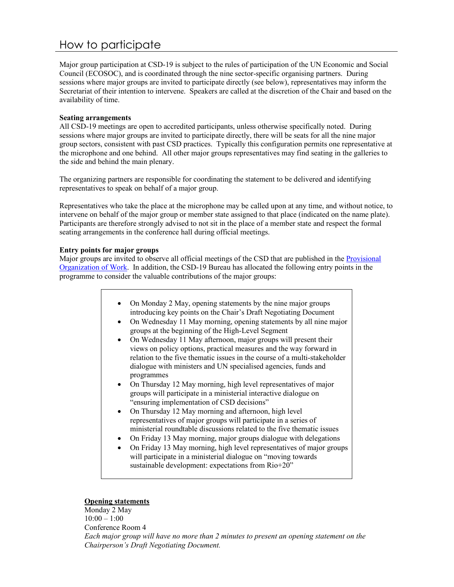## How to participate

Major group participation at CSD-19 is subject to the rules of participation of the UN Economic and Social Council (ECOSOC), and is coordinated through the nine sector-specific organising partners. During sessions where major groups are invited to participate directly (see below), representatives may inform the Secretariat of their intention to intervene. Speakers are called at the discretion of the Chair and based on the availability of time.

#### **Seating arrangements**

All CSD-19 meetings are open to accredited participants, unless otherwise specifically noted. During sessions where major groups are invited to participate directly, there will be seats for all the nine major group sectors, consistent with past CSD practices. Typically this configuration permits one representative at the microphone and one behind. All other major groups representatives may find seating in the galleries to the side and behind the main plenary.

The organizing partners are responsible for coordinating the statement to be delivered and identifying representatives to speak on behalf of a major group.

Representatives who take the place at the microphone may be called upon at any time, and without notice, to intervene on behalf of the major group or member state assigned to that place (indicated on the name plate). Participants are therefore strongly advised to not sit in the place of a member state and respect the formal seating arrangements in the conference hall during official meetings.

#### **Entry points for major groups**

Major groups are invited to observe all official meetings of the CSD that are published in the Provisional Organization of Work. In addition, the CSD-19 Bureau has allocated the following entry points in the programme to consider the valuable contributions of the major groups:

- On Monday 2 May, opening statements by the nine major groups introducing key points on the Chair's Draft Negotiating Document
- On Wednesday 11 May morning, opening statements by all nine major groups at the beginning of the High-Level Segment
- On Wednesday 11 May afternoon, major groups will present their views on policy options, practical measures and the way forward in relation to the five thematic issues in the course of a multi-stakeholder dialogue with ministers and UN specialised agencies, funds and programmes
- On Thursday 12 May morning, high level representatives of major groups will participate in a ministerial interactive dialogue on "ensuring implementation of CSD decisions"
- On Thursday 12 May morning and afternoon, high level representatives of major groups will participate in a series of ministerial roundtable discussions related to the five thematic issues
- On Friday 13 May morning, major groups dialogue with delegations
- On Friday 13 May morning, high level representatives of major groups will participate in a ministerial dialogue on "moving towards sustainable development: expectations from Rio+20"

#### **Opening statements**

Monday 2 May  $10:00 - 1:00$ Conference Room 4 *Each major group will have no more than 2 minutes to present an opening statement on the Chairperson's Draft Negotiating Document.*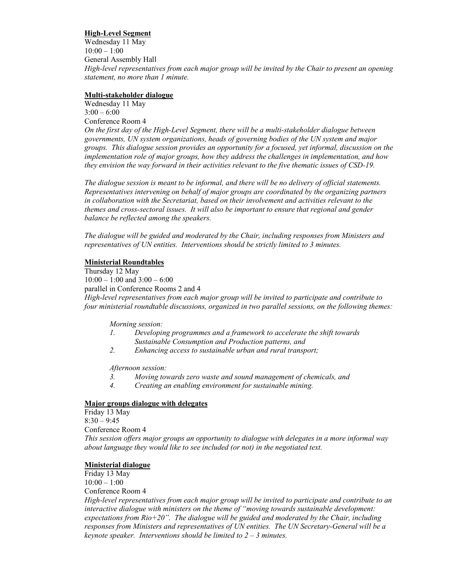#### **High-Level Segment**

Wednesday 11 May  $10:00 - 1:00$ General Assembly Hall *High-level representatives from each major group will be invited by the Chair to present an opening statement, no more than 1 minute.* 

#### **Multi-stakeholder dialogue**

Wednesday 11 May  $3:00 - 6:00$ Conference Room 4

*On the first day of the High-Level Segment, there will be a multi-stakeholder dialogue between governments, UN system organizations, heads of governing bodies of the UN system and major groups. This dialogue session provides an opportunity for a focused, yet informal, discussion on the implementation role of major groups, how they address the challenges in implementation, and how they envision the way forward in their activities relevant to the five thematic issues of CSD-19.* 

*The dialogue session is meant to be informal, and there will be no delivery of official statements. Representatives intervening on behalf of major groups are coordinated by the organizing partners in collaboration with the Secretariat, based on their involvement and activities relevant to the themes and cross-sectoral issues. It will also be important to ensure that regional and gender balance be reflected among the speakers.* 

*The dialogue will be guided and moderated by the Chair, including responses from Ministers and representatives of UN entities. Interventions should be strictly limited to 3 minutes.* 

#### **Ministerial Roundtables**

Thursday 12 May  $10:00 - 1:00$  and  $3:00 - 6:00$ parallel in Conference Rooms 2 and 4 *High-level representatives from each major group will be invited to participate and contribute to four ministerial roundtable discussions, organized in two parallel sessions, on the following themes:* 

*Morning session:* 

- *1. Developing programmes and a framework to accelerate the shift towards Sustainable Consumption and Production patterns, and*
- *2. Enhancing access to sustainable urban and rural transport;*

*Afternoon session:* 

- *3. Moving towards zero waste and sound management of chemicals, and*
- *4. Creating an enabling environment for sustainable mining.*

#### **Major groups dialogue with delegates**

Friday 13 May  $8:30 - 9:45$ Conference Room 4 *This session offers major groups an opportunity to dialogue with delegates in a more informal way about language they would like to see included (or not) in the negotiated text.* 

#### **Ministerial dialogue**

Friday 13 May  $10:00 - 1:00$ 

Conference Room 4

*High-level representatives from each major group will be invited to participate and contribute to an interactive dialogue with ministers on the theme of "moving towards sustainable development: expectations from Rio+20". The dialogue will be guided and moderated by the Chair, including responses from Ministers and representatives of UN entities. The UN Secretary-General will be a keynote speaker. Interventions should be limited to 2 – 3 minutes.*